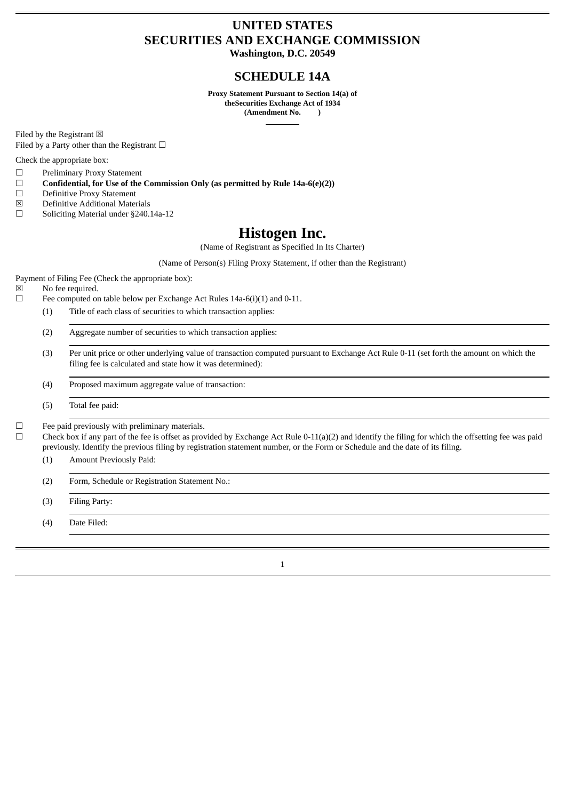# **UNITED STATES SECURITIES AND EXCHANGE COMMISSION**

**Washington, D.C. 20549**

## **SCHEDULE 14A**

**Proxy Statement Pursuant to Section 14(a) of theSecurities Exchange Act of 1934 (Amendment No. )**

Filed by the Registrant  $\boxtimes$ Filed by a Party other than the Registrant  $\Box$ 

Check the appropriate box:

- ☐ Preliminary Proxy Statement
- ☐ **Confidential, for Use of the Commission Only (as permitted by Rule 14a-6(e)(2))**
- □ Definitive Proxy Statement<br>
⊠ Definitive Additional Mater
- Definitive Additional Materials
- ☐ Soliciting Material under §240.14a-12

## **Histogen Inc.**

(Name of Registrant as Specified In Its Charter)

(Name of Person(s) Filing Proxy Statement, if other than the Registrant)

Payment of Filing Fee (Check the appropriate box):

- ☒ No fee required.
- ☐ Fee computed on table below per Exchange Act Rules 14a-6(i)(1) and 0-11.
	- (1) Title of each class of securities to which transaction applies:
		- (2) Aggregate number of securities to which transaction applies:
		- (3) Per unit price or other underlying value of transaction computed pursuant to Exchange Act Rule 0-11 (set forth the amount on which the filing fee is calculated and state how it was determined):
		- (4) Proposed maximum aggregate value of transaction:
		- (5) Total fee paid:

 $\Box$  Fee paid previously with preliminary materials.<br> $\Box$  Check hox if any part of the fee is offset as prov

Check box if any part of the fee is offset as provided by Exchange Act Rule  $0-11(a)(2)$  and identify the filing for which the offsetting fee was paid previously. Identify the previous filing by registration statement number, or the Form or Schedule and the date of its filing.

- (1) Amount Previously Paid:
- (2) Form, Schedule or Registration Statement No.:
- (3) Filing Party:
- (4) Date Filed:

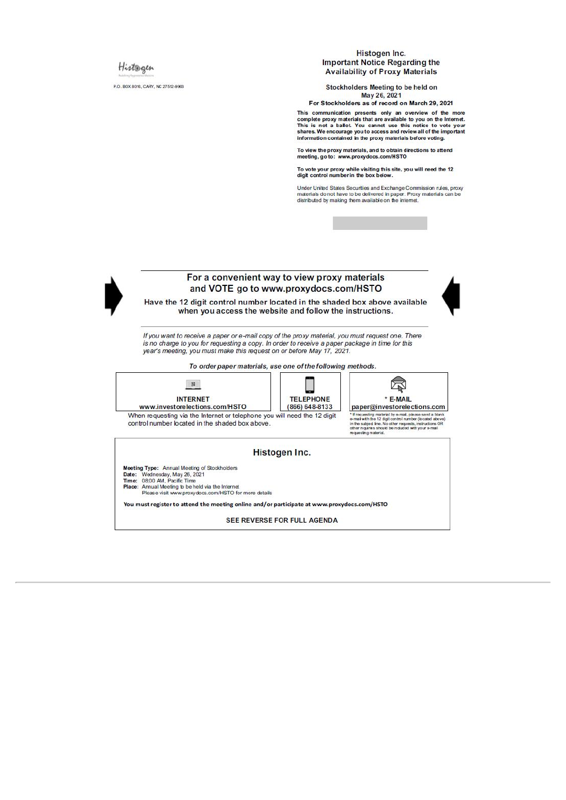## Histogen

P.O. BOX 8016, CARY, NC 27512-9903

#### Histogen Inc. **Important Notice Regarding the Availability of Proxy Materials**

Stockholders Meeting to be held on May 26, 2021

For Stockholders as of record on March 29, 2021

This communication presents only an overview of the more This communication presents only an overview of the more<br>This is not a ballot. You cannot use this notice to vote your<br>This is not a ballot. You cannot use this notice to vote your<br>shares. We encourage youto access and rev

To view the proxy materials, and to obtain directions to attend meeting, go to: www.proxydocs.com/HSTO

To vote your proxy while visiting this site, you will need the 12<br>digit control number in the box below.

Under United States Securities and Exchange Commission rules, proxy materials do not have to be delivered in paper. Proxy materials can be distributed by making them available on the internet.



#### For a convenient way to view proxy materials and VOTE go to www.proxydocs.com/HSTO

Have the 12 digit control number located in the shaded box above available when you access the website and follow the instructions.

If you want to receive a paper or e-mail copy of the proxy material, you must request one. There is no charge to you for requesting a copy. In order to receive a paper package in time for this year's meeting, you must make this request on or before May 17, 2021.

To order paper materials, use one of the following methods.



You must register to attend the meeting online and/or participate at www.proxydocs.com/HSTO

SEE REVERSE FOR FULL AGENDA